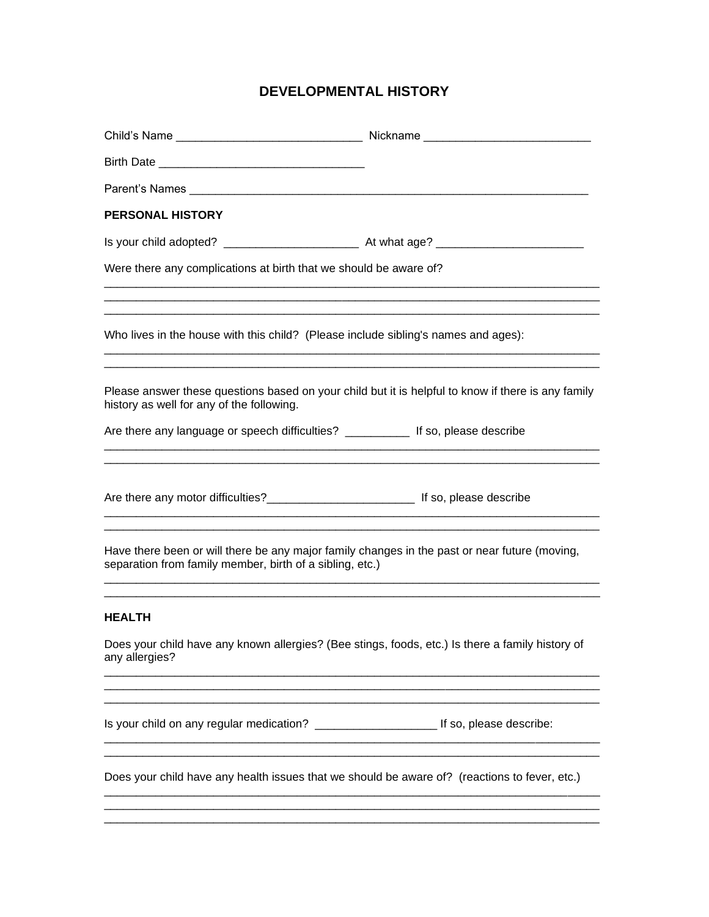# **DEVELOPMENTAL HISTORY**

| <b>PERSONAL HISTORY</b>                                                                                                                                   |                                                                                                                       |
|-----------------------------------------------------------------------------------------------------------------------------------------------------------|-----------------------------------------------------------------------------------------------------------------------|
|                                                                                                                                                           |                                                                                                                       |
| Were there any complications at birth that we should be aware of?                                                                                         |                                                                                                                       |
|                                                                                                                                                           |                                                                                                                       |
| Who lives in the house with this child? (Please include sibling's names and ages):                                                                        |                                                                                                                       |
| Please answer these questions based on your child but it is helpful to know if there is any family<br>history as well for any of the following.           |                                                                                                                       |
|                                                                                                                                                           |                                                                                                                       |
|                                                                                                                                                           |                                                                                                                       |
|                                                                                                                                                           | <u> 1980 - Johann Barbara, martxa alemaniar amerikan basar da da a shekara a shekara a shekara a shekara a shekar</u> |
| Have there been or will there be any major family changes in the past or near future (moving,<br>separation from family member, birth of a sibling, etc.) |                                                                                                                       |
| <b>HEALTH</b>                                                                                                                                             |                                                                                                                       |
| Does your child have any known allergies? (Bee stings, foods, etc.) Is there a family history of<br>any allergies?                                        |                                                                                                                       |
|                                                                                                                                                           |                                                                                                                       |
| Does your child have any health issues that we should be aware of? (reactions to fever, etc.)                                                             |                                                                                                                       |
|                                                                                                                                                           |                                                                                                                       |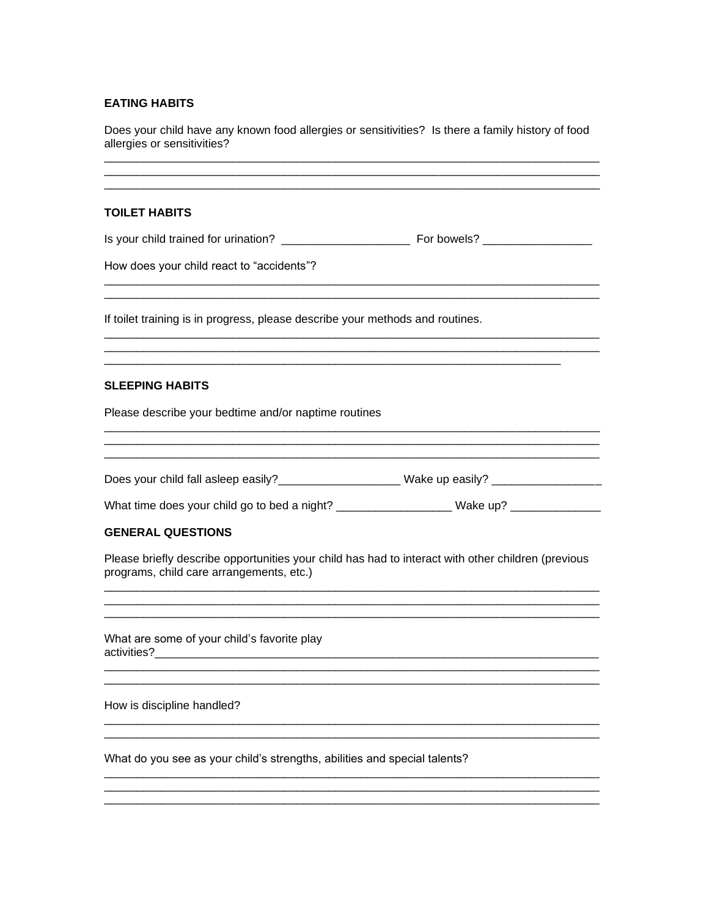## **EATING HABITS**

Does your child have any known food allergies or sensitivities? Is there a family history of food allergies or sensitivities?

## **TOILET HABITS**

How does your child react to "accidents"?

If toilet training is in progress, please describe your methods and routines.

### **SLEEPING HABITS**

Please describe your bedtime and/or naptime routines

Does your child fall asleep easily?\_\_\_\_\_\_\_\_\_\_\_\_\_\_\_\_\_\_\_\_\_\_\_Wake up easily? \_\_\_\_\_\_\_\_\_\_\_\_\_\_\_\_\_\_\_\_\_\_\_\_\_

What time does your child go to bed a night? \_\_\_\_\_\_\_\_\_\_\_\_\_\_\_\_\_\_\_\_Wake up? \_\_\_\_\_\_\_\_\_\_\_\_\_

### **GENERAL QUESTIONS**

Please briefly describe opportunities your child has had to interact with other children (previous programs, child care arrangements, etc.)

What are some of your child's favorite play 

How is discipline handled?

What do you see as your child's strengths, abilities and special talents?